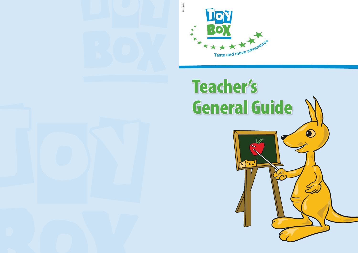



# Teacher's General Guide

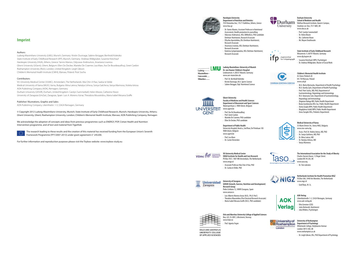#### **Ludwig-Maximilians-University of Munich Dr. von Hauner Children's Hospital**

- Lindwurmstr. 4, 80337 Munich, Germany www.uni-muenchen.de
- 
- Prof. Dr. Berthold Koletzko<br>Kristin Duvinage, M.A. Sports Science
- Sabine Ibrügger, Dipl. Nutritional Science



#### **Children's Memorial Health Institute**

Al. Dzieci Polskich 20 04-730 Warsaw, Poland www.czd.pl

- · M.A. Marta Biernacka, Department of Health Psychology
- · M.A. Kamila Zych, Department of Health Psychology
- Prof. Piotr Socha, MD, PhD, Department of
- Gastroenterology, Hepatology and Immunology · M.A. Katarzyna Szot, Department of Gastroenterology,
- Hepatology and Immunology
- · Zbigniew Kułaga MD, Public Health Department
- Beata Gurzkowska MSc Soc, Public Health Department
- · Aneta Grajda MPH, Public Health Department
- · Magdalena Góźdź MPH, Public Health Department
- · Anna Świąder MSc, Pediatric Department

- · Prof. Lea Maes
- Dr. Carine Vereecken

 $VUmc$ 

#### **Medical University of Varna**

55 Marin Drinov Str., Varna 9002, Bulgaria www.mu-varna.bg

- · Assoc. Prof. Dr. Violeta Iotova, MD, PhD
- · Dr. Sonya Galcheva, MD, PhD
- · Dr. Mina Lateva, MD
- · Dr. Natalya Usheva, MD
- · Vanya Marinova

#### **The International Association for the Study of Obesity** Charles Darwin House, 12 Roger Street

London WC1N 2JU, UK www.iaso.org



lasd

#### **Ghent University Faculty of Medicine and Health Sciences Department of Movement and Sport Sciences** Watersportlaan 2, 9000 Ghent, Belgium

- www.ugent.be
- · Prof. Ilse De Bourdeaudhuij
- · Prof. Greet Cardon
- Marieke De Craemer, PhD candidate · Ellen De Decker, PhD candidate

#### **Department of Public Health**

- · Luis Alberto Moreno Aznar (M.D., Ph.D. Prof.)<br>· Theodora Mouratidou (Post Doctoral Research Associate)
- 
- · María Isabel Mesana Graffe (M.D., PhD candidate)

**Oslo and Akershus University College of Applied Sciences** Box, 423, N-2001, Lillestroem, Norway www.hiak.no Prof. Agneta Yngve

**OSLO AND AKERSHIIS** UNIVERSITY COLLEGE OF APPLIED SCIENCES



University Hospital, block a, 2nd floor, De Pintelaan 185 9000 Ghent, Belgium www.ugent.be

#### **Harokopio University**

- **Department of Nutrition and Dietetics**  70 El Venizelou Ave, 176 71 Kallithea, Athens, Greece
- www.hua.gr · Dr. Yannis Manios, Assistant Professor in Nutritional
- Assessment, Health promotion & counselling Odysseas Androutsos, MSc (MMedSci), PhD candidate
- · Dietitian-Nutritionist, Research Associate
	- · Eftychia Apostolidou, BSc Dietitian-Nutritionist,
	- Research Associate · Anastasia Livaniou, MSc Dietitian-Nutritionist,
	- Research Associate
- Katerina Lymperopoulou, MSc Dietitian-Nutritionist Research Associate



#### **VU University Medical Center EMGO Institute for Health and Care Research** PO Box 7057, 1007 MB Amsterdam, The Netherlands www.emgo.nl

- Associate Professor Mai Chin A Paw, PhD<br>Dr. Saskia te Velde, PhD
- 



#### **State Institute of Early Childhood Research** Winzererstr. 9, 80797 Munich, Germany

www.ifp.bayern.de

- Susanne Kreichauf, MPH, Psychologist<br>Dr. Andreas Wildgruber, Master of Social Work
- 



#### **AOK-Verlag**

Lilienthalstraße 1-3, 53424 Remagen, Germany www.aok-verlag.de

- Otto Gmeiner (CEO)
- · Jutta Retterath, Nutritionist
- Julia Wildeis, Psychologist

#### **University of** University of Roehampton **Department of Property OF Contracts of Property Contracts Property Contracts Property Contracts Property Contracts** London

#### **University of Zaragoza GENUD (Growth, Exercise, Nutrition and Development)**

**Research Group** Pedro Cerbuna 12, 50009 Zaragoza, Spain www.unizar.es

#### **Durham University School of Medicine and Health**

Wolfson Research Institute, Queen's Campus, Stockton-on-Tees, TS17 6BH, UK www.dur.ac.uk

- Prof. Carolyn Summerbell
- · Dr. Helen Moore
- · Ms. Catherine Nixon
- Mr. Wayne Douthwaite



**Netherlands Institute for Health Promotion NIGZ** P.O.Box 500, 3440 Am Woerden, The Netherlands www.nigz.nl

Goof Buijs, M. Sc.

Dr. Tim Lobstein



Whitelands College, Holybourne Avenue London SW15 4JD, UK www.roehampton.ac.uk

· Dr. Leigh Gibson, BSc, PhD Department of Psychology



### **Imprint**

#### Authors:

Ludwig-Maximilians-University (LMU), Munich, Germany: Kristin Duvinage, Sabine Ibrügger, Berthold Koletzko State Institute of Early Childhood Research (IFP), Munich, Germany: Andreas Wildgruber, Susanne Kreichauf Harokopio University (HUA), Athens, Greece: Yannis Manios, Odysseas Androutsos, Anastasia Livaniou Ghent University (UGent), Ghent, Belgium: Ellen De Decker, Marieke De Craemer, Lea Maes, Ilse De Bourdeaudhuij, Greet Cardon Roehampton University (RoU), London, United Kingdom: Leigh Gibson Children's Memorial Health Institute (CMHI), Warsaw, Poland: Piotr Socha

#### Contributors:

VU University Medical Center (VUMC), Amsterdam, The Netherlands: Mai Chin A Paw, Saskia te Velde Medical University of Varna (MUV), Varna, Bulgaria: Mina Lateva, Natalya Usheva, Sonya Galcheva, Vanya Marinova, Violeta Iotova AOK-Publishing Company (AOK), Remagen, Germany Durham University (UDUR), Durham, United Kingdom: Carolyn Summerbell, Helen Moore, Catherine Nixon University of Zaragoza (UniZar), Zaragoza, Spain: Luis A. Moreno Aznar, Theodora Mouratidou, Maria Isabel Mesana Graffe

#### Publisher/ Illustrations, Graphic and Sales:

AOK-Publishing Company, Lilienthalstr. 1-3, 53424 Remagen, Germany

© Copyright 2012 Ludwig-Maximilians-University, Munich; State Institute of Early Childhood Research, Munich; Harokopio University, Athens; Ghent University, Ghent; Roehampton University, London; Children's Memorial Health Institute, Warsaw; AOK-Publishing Company, Remagen

We acknowledge the adoption of concepts and ideas from previous programmes such as ENERGY, POP, Cretan Health and Nutrition Intervention programme, and of text and material from TigerKids



The research leading to these results and the creation of this material has received funding from the European Union's Seventh Framework Programme (FP7/2007-2013) under grant agreement n° 245200.

For further information and reproduction purposes please visit the Toybox website: www.toybox-study.eu